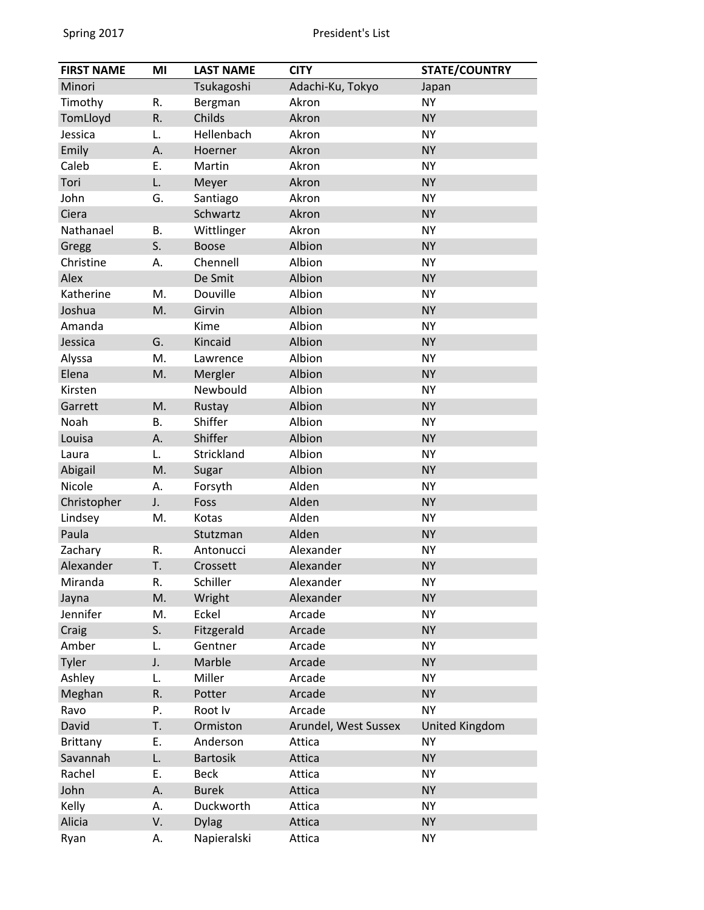| <b>FIRST NAME</b> | MI        | <b>LAST NAME</b> | <b>CITY</b>          | <b>STATE/COUNTRY</b> |
|-------------------|-----------|------------------|----------------------|----------------------|
| Minori            |           | Tsukagoshi       | Adachi-Ku, Tokyo     | Japan                |
| Timothy           | R.        | Bergman          | Akron                | <b>NY</b>            |
| TomLloyd          | R.        | Childs           | Akron                | <b>NY</b>            |
| Jessica           | L.        | Hellenbach       | Akron                | <b>NY</b>            |
| Emily             | Α.        | Hoerner          | Akron                | <b>NY</b>            |
| Caleb             | Ε.        | Martin           | Akron                | <b>NY</b>            |
| Tori              | L.        | Meyer            | Akron                | <b>NY</b>            |
| John              | G.        | Santiago         | Akron                | <b>NY</b>            |
| Ciera             |           | Schwartz         | Akron                | <b>NY</b>            |
| Nathanael         | <b>B.</b> | Wittlinger       | Akron                | <b>NY</b>            |
| Gregg             | S.        | <b>Boose</b>     | Albion               | <b>NY</b>            |
| Christine         | А.        | Chennell         | Albion               | <b>NY</b>            |
| Alex              |           | De Smit          | Albion               | <b>NY</b>            |
| Katherine         | M.        | Douville         | Albion               | <b>NY</b>            |
| Joshua            | M.        | Girvin           | Albion               | <b>NY</b>            |
| Amanda            |           | Kime             | Albion               | <b>NY</b>            |
| Jessica           | G.        | Kincaid          | Albion               | <b>NY</b>            |
| Alyssa            | M.        | Lawrence         | Albion               | <b>NY</b>            |
| Elena             | M.        | Mergler          | Albion               | <b>NY</b>            |
| Kirsten           |           | Newbould         | Albion               | <b>NY</b>            |
| Garrett           | M.        | Rustay           | Albion               | <b>NY</b>            |
| Noah              | <b>B.</b> | Shiffer          | Albion               | <b>NY</b>            |
| Louisa            | А.        | Shiffer          | Albion               | <b>NY</b>            |
| Laura             | L.        | Strickland       | Albion               | <b>NY</b>            |
| Abigail           | M.        | Sugar            | Albion               | <b>NY</b>            |
| Nicole            | А.        | Forsyth          | Alden                | <b>NY</b>            |
| Christopher       | J.        | Foss             | Alden                | <b>NY</b>            |
| Lindsey           | M.        | Kotas            | Alden                | <b>NY</b>            |
| Paula             |           | Stutzman         | Alden                | <b>NY</b>            |
| Zachary           | R.        | Antonucci        | Alexander            | <b>NY</b>            |
| Alexander         | T.        | Crossett         | Alexander            | <b>NY</b>            |
| Miranda           | R.        | Schiller         | Alexander            | <b>NY</b>            |
| Jayna             | M.        | Wright           | Alexander            | <b>NY</b>            |
| Jennifer          | M.        | Eckel            | Arcade               | <b>NY</b>            |
| Craig             | S.        | Fitzgerald       | Arcade               | <b>NY</b>            |
| Amber             | L.        | Gentner          | Arcade               | <b>NY</b>            |
| Tyler             | J.        | Marble           | Arcade               | <b>NY</b>            |
| Ashley            | L.        | Miller           | Arcade               | <b>NY</b>            |
| Meghan            | R.        | Potter           | Arcade               | <b>NY</b>            |
| Ravo              | Ρ.        | Root Iv          | Arcade               | <b>NY</b>            |
| David             | T.        | Ormiston         | Arundel, West Sussex | United Kingdom       |
| Brittany          | Ε.        | Anderson         | Attica               | <b>NY</b>            |
| Savannah          | L.        | <b>Bartosik</b>  | Attica               | <b>NY</b>            |
| Rachel            | Ε.        | <b>Beck</b>      | Attica               | <b>NY</b>            |
| John              | А.        | <b>Burek</b>     | Attica               | <b>NY</b>            |
| Kelly             | А.        | Duckworth        | Attica               | <b>NY</b>            |
| Alicia            | V.        | <b>Dylag</b>     | Attica               | <b>NY</b>            |
| Ryan              | А.        | Napieralski      | Attica               | <b>NY</b>            |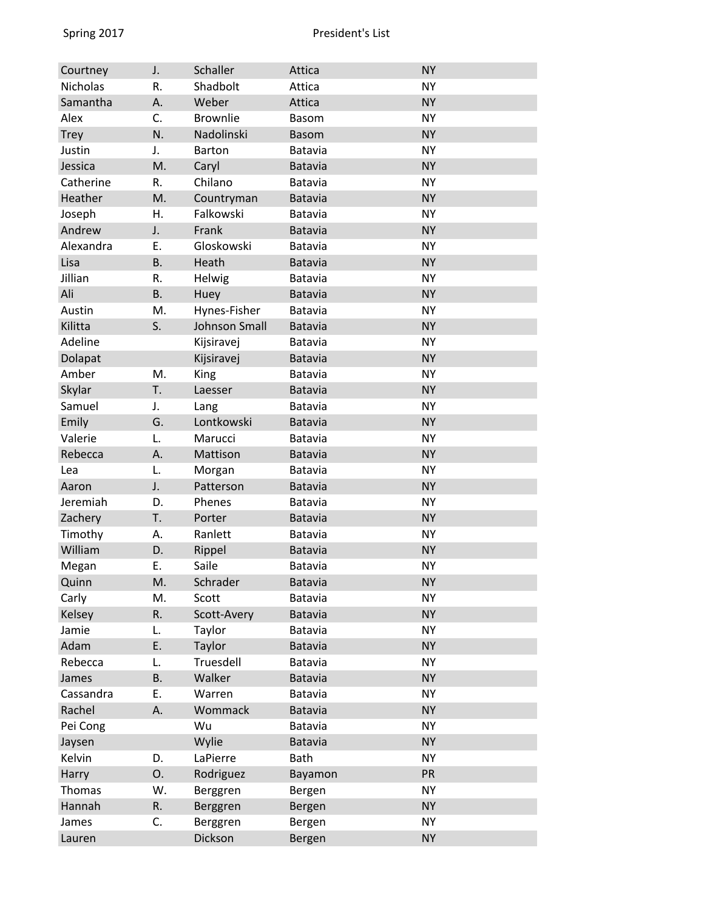| Courtney        | J.        | Schaller        | Attica         | <b>NY</b> |
|-----------------|-----------|-----------------|----------------|-----------|
| <b>Nicholas</b> | R.        | Shadbolt        | Attica         | <b>NY</b> |
| Samantha        | Α.        | Weber           | Attica         | <b>NY</b> |
| Alex            | C.        | <b>Brownlie</b> | <b>Basom</b>   | <b>NY</b> |
| <b>Trey</b>     | N.        | Nadolinski      | <b>Basom</b>   | <b>NY</b> |
| Justin          | J.        | <b>Barton</b>   | Batavia        | <b>NY</b> |
| Jessica         | M.        | Caryl           | <b>Batavia</b> | <b>NY</b> |
| Catherine       | R.        | Chilano         | Batavia        | <b>NY</b> |
| Heather         | M.        | Countryman      | <b>Batavia</b> | <b>NY</b> |
| Joseph          | Η.        | Falkowski       | Batavia        | <b>NY</b> |
| Andrew          | J.        | Frank           | <b>Batavia</b> | <b>NY</b> |
| Alexandra       | Ε.        | Gloskowski      | Batavia        | <b>NY</b> |
| Lisa            | <b>B.</b> | Heath           | <b>Batavia</b> | <b>NY</b> |
| Jillian         | R.        | Helwig          | Batavia        | <b>NY</b> |
| Ali             | <b>B.</b> | Huey            | <b>Batavia</b> | <b>NY</b> |
| Austin          | M.        | Hynes-Fisher    | Batavia        | <b>NY</b> |
| Kilitta         | S.        | Johnson Small   | <b>Batavia</b> | <b>NY</b> |
| Adeline         |           | Kijsiravej      | Batavia        | <b>NY</b> |
| Dolapat         |           | Kijsiravej      | <b>Batavia</b> | <b>NY</b> |
| Amber           | M.        | King            | Batavia        | <b>NY</b> |
| Skylar          | T.        | Laesser         | Batavia        | <b>NY</b> |
| Samuel          | J.        | Lang            | Batavia        | <b>NY</b> |
| Emily           | G.        | Lontkowski      | <b>Batavia</b> | <b>NY</b> |
| Valerie         | L.        | Marucci         | Batavia        | <b>NY</b> |
| Rebecca         | А.        | Mattison        | Batavia        | <b>NY</b> |
| Lea             | L.        | Morgan          | Batavia        | <b>NY</b> |
| Aaron           | J.        | Patterson       | <b>Batavia</b> | <b>NY</b> |
| Jeremiah        | D.        | Phenes          | Batavia        | <b>NY</b> |
| Zachery         | T.        | Porter          | <b>Batavia</b> | <b>NY</b> |
| Timothy         | А.        | Ranlett         | Batavia        | <b>NY</b> |
| William         | D.        | Rippel          | <b>Batavia</b> | <b>NY</b> |
| Megan           | Ε.        | Saile           | Batavia        | <b>NY</b> |
| Quinn           | M.        | Schrader        | <b>Batavia</b> | <b>NY</b> |
| Carly           | M.        | Scott           | Batavia        | <b>NY</b> |
| Kelsey          | R.        | Scott-Avery     | Batavia        | <b>NY</b> |
| Jamie           | L.        | Taylor          | Batavia        | <b>NY</b> |
| Adam            | Ε.        | Taylor          | Batavia        | <b>NY</b> |
| Rebecca         | L.        | Truesdell       | Batavia        | <b>NY</b> |
| James           | <b>B.</b> | Walker          | <b>Batavia</b> | <b>NY</b> |
| Cassandra       | Ε.        | Warren          | Batavia        | <b>NY</b> |
| Rachel          | А.        | Wommack         | Batavia        | <b>NY</b> |
| Pei Cong        |           | Wu              | Batavia        | <b>NY</b> |
| Jaysen          |           | Wylie           | <b>Batavia</b> | <b>NY</b> |
| Kelvin          | D.        | LaPierre        | <b>Bath</b>    | <b>NY</b> |
| Harry           | О.        | Rodriguez       | Bayamon        | PR        |
| Thomas          | W.        | Berggren        | Bergen         | <b>NY</b> |
| Hannah          | R.        | Berggren        | Bergen         | <b>NY</b> |
| James           | C.        | Berggren        | Bergen         | <b>NY</b> |
| Lauren          |           | Dickson         | Bergen         | <b>NY</b> |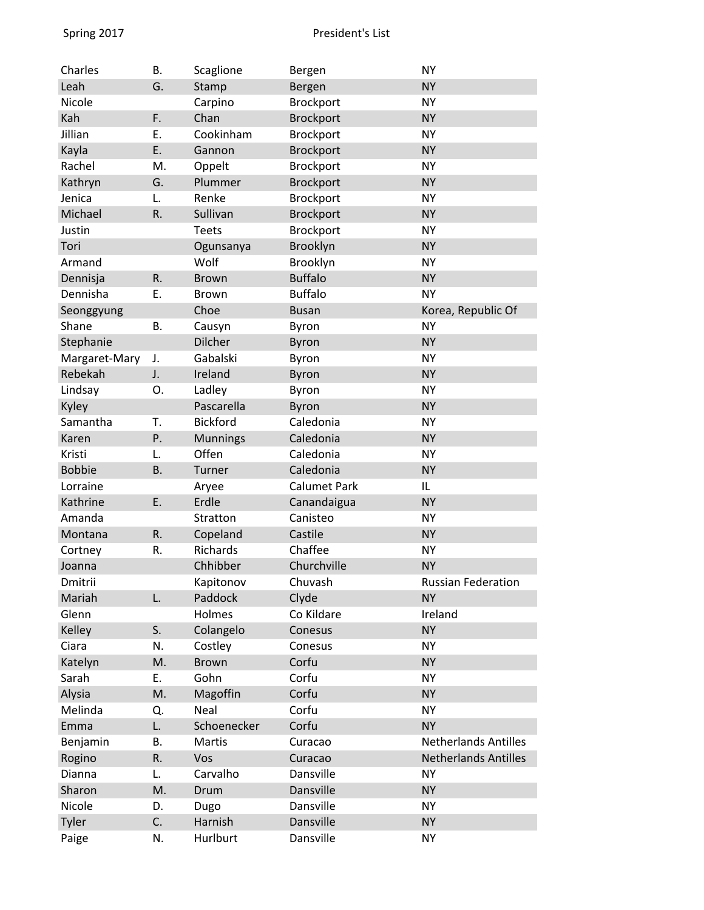| Charles       | <b>B.</b> | Scaglione       | Bergen              | <b>NY</b>                   |
|---------------|-----------|-----------------|---------------------|-----------------------------|
| Leah          | G.        | Stamp           | Bergen              | <b>NY</b>                   |
| Nicole        |           | Carpino         | <b>Brockport</b>    | <b>NY</b>                   |
| Kah           | F.        | Chan            | <b>Brockport</b>    | <b>NY</b>                   |
| Jillian       | Ε.        | Cookinham       | Brockport           | <b>NY</b>                   |
| Kayla         | E.        | Gannon          | <b>Brockport</b>    | <b>NY</b>                   |
| Rachel        | M.        | Oppelt          | Brockport           | <b>NY</b>                   |
| Kathryn       | G.        | Plummer         | <b>Brockport</b>    | <b>NY</b>                   |
| Jenica        | L.        | Renke           | <b>Brockport</b>    | <b>NY</b>                   |
| Michael       | R.        | Sullivan        | <b>Brockport</b>    | <b>NY</b>                   |
| Justin        |           | <b>Teets</b>    | Brockport           | <b>NY</b>                   |
| Tori          |           | Ogunsanya       | Brooklyn            | <b>NY</b>                   |
| Armand        |           | Wolf            | Brooklyn            | <b>NY</b>                   |
| Dennisja      | R.        | <b>Brown</b>    | <b>Buffalo</b>      | <b>NY</b>                   |
| Dennisha      | E.        | Brown           | <b>Buffalo</b>      | <b>NY</b>                   |
| Seonggyung    |           | Choe            | <b>Busan</b>        | Korea, Republic Of          |
| Shane         | <b>B.</b> | Causyn          | Byron               | <b>NY</b>                   |
| Stephanie     |           | Dilcher         | <b>Byron</b>        | <b>NY</b>                   |
| Margaret-Mary | J.        | Gabalski        | Byron               | <b>NY</b>                   |
| Rebekah       | J.        | Ireland         | <b>Byron</b>        | <b>NY</b>                   |
| Lindsay       | О.        | Ladley          | Byron               | <b>NY</b>                   |
| Kyley         |           | Pascarella      | <b>Byron</b>        | <b>NY</b>                   |
| Samantha      | T.        | <b>Bickford</b> | Caledonia           | <b>NY</b>                   |
| Karen         | Ρ.        | <b>Munnings</b> | Caledonia           | <b>NY</b>                   |
| Kristi        | L.        | Offen           | Caledonia           | <b>NY</b>                   |
| <b>Bobbie</b> | <b>B.</b> | Turner          | Caledonia           | <b>NY</b>                   |
| Lorraine      |           | Aryee           | <b>Calumet Park</b> | IL                          |
| Kathrine      | E.        | Erdle           | Canandaigua         | <b>NY</b>                   |
| Amanda        |           | Stratton        | Canisteo            | <b>NY</b>                   |
| Montana       | R.        | Copeland        | Castile             | <b>NY</b>                   |
| Cortney       | R.        | Richards        | Chaffee             | <b>NY</b>                   |
| Joanna        |           | Chhibber        | Churchville         | <b>NY</b>                   |
| Dmitrii       |           | Kapitonov       | Chuvash             | <b>Russian Federation</b>   |
| Mariah        | L.        | Paddock         | Clyde               | <b>NY</b>                   |
| Glenn         |           | Holmes          | Co Kildare          | Ireland                     |
| Kelley        | S.        | Colangelo       | Conesus             | <b>NY</b>                   |
| Ciara         | N.        | Costley         | Conesus             | <b>NY</b>                   |
| Katelyn       | M.        | <b>Brown</b>    | Corfu               | <b>NY</b>                   |
| Sarah         | Е.        | Gohn            | Corfu               | <b>NY</b>                   |
| Alysia        | M.        | Magoffin        | Corfu               | <b>NY</b>                   |
| Melinda       | Q.        | Neal            | Corfu               | <b>NY</b>                   |
| Emma          | L.        | Schoenecker     | Corfu               | <b>NY</b>                   |
| Benjamin      | <b>B.</b> | Martis          | Curacao             | <b>Netherlands Antilles</b> |
| Rogino        | R.        | Vos             | Curacao             | <b>Netherlands Antilles</b> |
| Dianna        | L.        | Carvalho        | Dansville           | <b>NY</b>                   |
| Sharon        | M.        | Drum            | Dansville           | <b>NY</b>                   |
| Nicole        | D.        | Dugo            | Dansville           | <b>NY</b>                   |
| Tyler         | C.        | Harnish         | Dansville           | <b>NY</b>                   |
| Paige         | N.        | Hurlburt        | Dansville           | <b>NY</b>                   |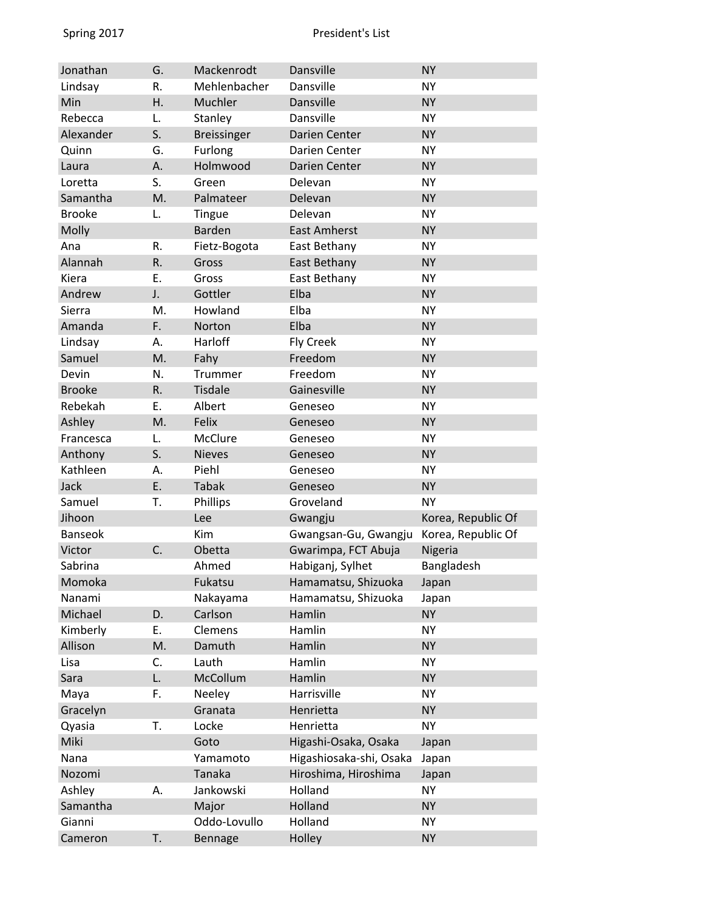| Jonathan       | G. | Mackenrodt         | Dansville               | <b>NY</b>          |
|----------------|----|--------------------|-------------------------|--------------------|
| Lindsay        | R. | Mehlenbacher       | Dansville               | <b>NY</b>          |
| Min            | Η. | Muchler            | Dansville               | <b>NY</b>          |
| Rebecca        | L. | Stanley            | Dansville               | <b>NY</b>          |
| Alexander      | S. | <b>Breissinger</b> | Darien Center           | <b>NY</b>          |
| Quinn          | G. | Furlong            | Darien Center           | <b>NY</b>          |
| Laura          | А. | Holmwood           | Darien Center           | <b>NY</b>          |
| Loretta        | S. | Green              | Delevan                 | <b>NY</b>          |
| Samantha       | M. | Palmateer          | Delevan                 | <b>NY</b>          |
| <b>Brooke</b>  | L. | Tingue             | Delevan                 | <b>NY</b>          |
| Molly          |    | <b>Barden</b>      | <b>East Amherst</b>     | <b>NY</b>          |
| Ana            | R. | Fietz-Bogota       | East Bethany            | <b>NY</b>          |
| Alannah        | R. | Gross              | East Bethany            | <b>NY</b>          |
| Kiera          | E. | Gross              | East Bethany            | <b>NY</b>          |
| Andrew         | J. | Gottler            | Elba                    | <b>NY</b>          |
| Sierra         | M. | Howland            | Elba                    | <b>NY</b>          |
| Amanda         | F. | Norton             | Elba                    | <b>NY</b>          |
| Lindsay        | А. | Harloff            | <b>Fly Creek</b>        | <b>NY</b>          |
| Samuel         | M. | Fahy               | Freedom                 | <b>NY</b>          |
| Devin          | N. | Trummer            | Freedom                 | <b>NY</b>          |
| <b>Brooke</b>  | R. | <b>Tisdale</b>     | Gainesville             | <b>NY</b>          |
| Rebekah        | Ε. | Albert             | Geneseo                 | <b>NY</b>          |
| Ashley         | M. | Felix              | Geneseo                 | <b>NY</b>          |
| Francesca      | L. | McClure            | Geneseo                 | <b>NY</b>          |
| Anthony        | S. | <b>Nieves</b>      | Geneseo                 | <b>NY</b>          |
| Kathleen       | А. | Piehl              | Geneseo                 | <b>NY</b>          |
| Jack           | E. | <b>Tabak</b>       | Geneseo                 | <b>NY</b>          |
| Samuel         | т. | Phillips           | Groveland               | <b>NY</b>          |
| Jihoon         |    | Lee                | Gwangju                 | Korea, Republic Of |
| <b>Banseok</b> |    | Kim                | Gwangsan-Gu, Gwangju    | Korea, Republic Of |
| Victor         | C. | Obetta             | Gwarimpa, FCT Abuja     | Nigeria            |
| Sabrina        |    | Ahmed              | Habiganj, Sylhet        | Bangladesh         |
| Momoka         |    | Fukatsu            | Hamamatsu, Shizuoka     | Japan              |
| Nanami         |    | Nakayama           | Hamamatsu, Shizuoka     | Japan              |
| Michael        | D. | Carlson            | Hamlin                  | <b>NY</b>          |
| Kimberly       | Ε. | Clemens            | Hamlin                  | <b>NY</b>          |
| Allison        | M. | Damuth             | Hamlin                  | <b>NY</b>          |
| Lisa           | C. | Lauth              | Hamlin                  | NY                 |
| Sara           | L. | McCollum           | Hamlin                  | <b>NY</b>          |
| Maya           | F. | Neeley             | Harrisville             | <b>NY</b>          |
| Gracelyn       |    | Granata            | Henrietta               | <b>NY</b>          |
| Qyasia         | T. | Locke              | Henrietta               | <b>NY</b>          |
| Miki           |    | Goto               | Higashi-Osaka, Osaka    | Japan              |
| Nana           |    | Yamamoto           | Higashiosaka-shi, Osaka | Japan              |
| Nozomi         |    | Tanaka             | Hiroshima, Hiroshima    | Japan              |
| Ashley         | А. | Jankowski          | Holland                 | NY                 |
| Samantha       |    | Major              | Holland                 | <b>NY</b>          |
| Gianni         |    | Oddo-Lovullo       | Holland                 | <b>NY</b>          |
| Cameron        | T. | Bennage            | Holley                  | <b>NY</b>          |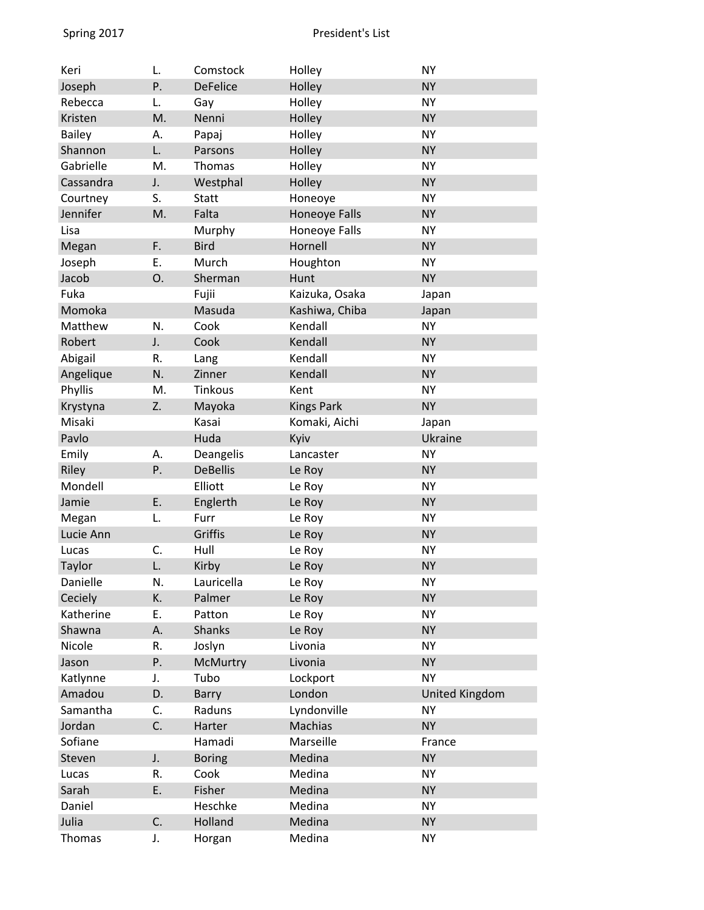| Keri          | L. | Comstock        | Holley            | <b>NY</b>             |
|---------------|----|-----------------|-------------------|-----------------------|
| Joseph        | P. | <b>DeFelice</b> | Holley            | <b>NY</b>             |
| Rebecca       | L. | Gay             | Holley            | <b>NY</b>             |
| Kristen       | M. | Nenni           | Holley            | <b>NY</b>             |
| <b>Bailey</b> | А. | Papaj           | Holley            | <b>NY</b>             |
| Shannon       | L. | Parsons         | Holley            | <b>NY</b>             |
| Gabrielle     | M. | <b>Thomas</b>   | Holley            | <b>NY</b>             |
| Cassandra     | J. | Westphal        | Holley            | <b>NY</b>             |
| Courtney      | S. | <b>Statt</b>    | Honeoye           | <b>NY</b>             |
| Jennifer      | M. | Falta           | Honeoye Falls     | <b>NY</b>             |
| Lisa          |    | Murphy          | Honeoye Falls     | <b>NY</b>             |
| Megan         | F. | <b>Bird</b>     | Hornell           | <b>NY</b>             |
| Joseph        | Ε. | Murch           | Houghton          | <b>NY</b>             |
| Jacob         | 0. | Sherman         | Hunt              | <b>NY</b>             |
| Fuka          |    | Fujii           | Kaizuka, Osaka    | Japan                 |
| Momoka        |    | Masuda          | Kashiwa, Chiba    | Japan                 |
| Matthew       | N. | Cook            | Kendall           | <b>NY</b>             |
| Robert        | J. | Cook            | Kendall           | <b>NY</b>             |
| Abigail       | R. | Lang            | Kendall           | <b>NY</b>             |
| Angelique     | N. | Zinner          | Kendall           | <b>NY</b>             |
| Phyllis       | M. | Tinkous         | Kent              | <b>NY</b>             |
| Krystyna      | Z. | Mayoka          | <b>Kings Park</b> | <b>NY</b>             |
| Misaki        |    | Kasai           | Komaki, Aichi     | Japan                 |
| Pavlo         |    | Huda            | Kyiv              | Ukraine               |
| Emily         | А. | Deangelis       | Lancaster         | <b>NY</b>             |
| Riley         | P. | <b>DeBellis</b> | Le Roy            | <b>NY</b>             |
| Mondell       |    | Elliott         | Le Roy            | <b>NY</b>             |
| Jamie         | E. | Englerth        | Le Roy            | <b>NY</b>             |
| Megan         | L. | Furr            | Le Roy            | <b>NY</b>             |
| Lucie Ann     |    | Griffis         | Le Roy            | <b>NY</b>             |
| Lucas         | C. | Hull            | Le Roy            | <b>NY</b>             |
| Taylor        | L. | Kirby           | Le Roy            | <b>NY</b>             |
| Danielle      | N. | Lauricella      | Le Roy            | <b>NY</b>             |
| Ceciely       | K. | Palmer          | Le Roy            | <b>NY</b>             |
| Katherine     | Ε. | Patton          | Le Roy            | <b>NY</b>             |
| Shawna        | А. | <b>Shanks</b>   | Le Roy            | <b>NY</b>             |
| Nicole        | R. | Joslyn          | Livonia           | <b>NY</b>             |
| Jason         | P. | McMurtry        | Livonia           | <b>NY</b>             |
| Katlynne      | J. | Tubo            | Lockport          | <b>NY</b>             |
| Amadou        | D. | Barry           | London            | <b>United Kingdom</b> |
| Samantha      | C. | Raduns          | Lyndonville       | <b>NY</b>             |
| Jordan        | C. | Harter          | <b>Machias</b>    | <b>NY</b>             |
| Sofiane       |    | Hamadi          | Marseille         | France                |
| Steven        | J. | <b>Boring</b>   | Medina            | <b>NY</b>             |
| Lucas         | R. | Cook            | Medina            | <b>NY</b>             |
| Sarah         | E. | Fisher          | Medina            | <b>NY</b>             |
| Daniel        |    | Heschke         | Medina            | <b>NY</b>             |
| Julia         | C. | Holland         | Medina            | <b>NY</b>             |
| Thomas        | J. | Horgan          | Medina            | <b>NY</b>             |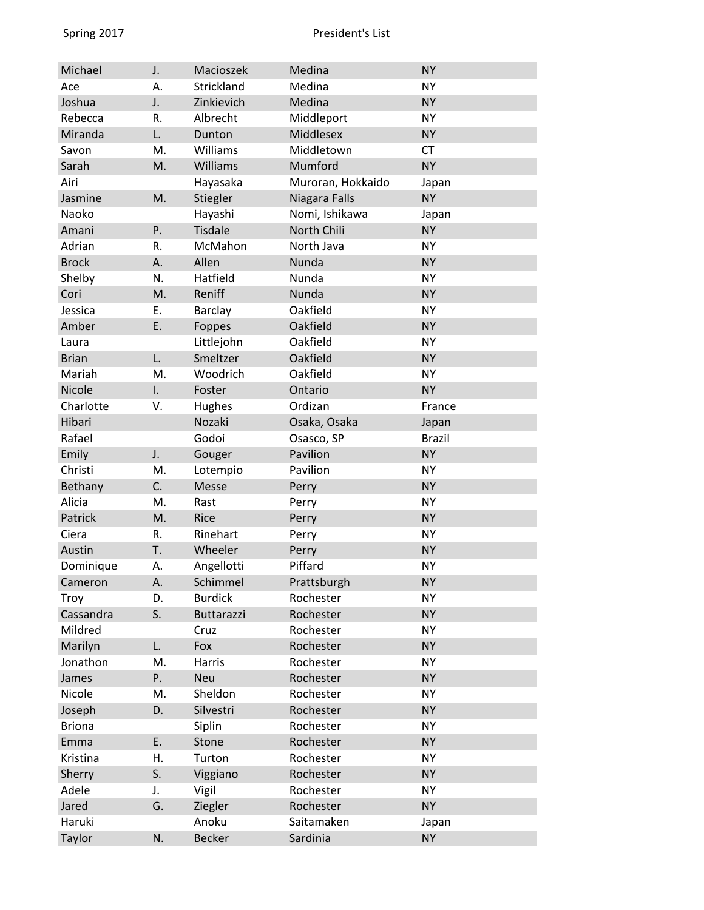| Michael       | J. | Macioszek      | Medina            | <b>NY</b>     |
|---------------|----|----------------|-------------------|---------------|
| Ace           | Α. | Strickland     | Medina            | <b>NY</b>     |
| Joshua        | J. | Zinkievich     | Medina            | <b>NY</b>     |
| Rebecca       | R. | Albrecht       | Middleport        | <b>NY</b>     |
| Miranda       | L. | Dunton         | <b>Middlesex</b>  | <b>NY</b>     |
| Savon         | M. | Williams       | Middletown        | <b>CT</b>     |
| Sarah         | M. | Williams       | Mumford           | <b>NY</b>     |
| Airi          |    | Hayasaka       | Muroran, Hokkaido | Japan         |
| Jasmine       | M. | Stiegler       | Niagara Falls     | <b>NY</b>     |
| Naoko         |    | Hayashi        | Nomi, Ishikawa    | Japan         |
| Amani         | P. | <b>Tisdale</b> | North Chili       | <b>NY</b>     |
| Adrian        | R. | McMahon        | North Java        | <b>NY</b>     |
| <b>Brock</b>  | А. | Allen          | Nunda             | <b>NY</b>     |
| Shelby        | N. | Hatfield       | Nunda             | <b>NY</b>     |
| Cori          | M. | Reniff         | Nunda             | <b>NY</b>     |
| Jessica       | Ε. | Barclay        | Oakfield          | <b>NY</b>     |
| Amber         | E. | Foppes         | Oakfield          | <b>NY</b>     |
| Laura         |    | Littlejohn     | Oakfield          | <b>NY</b>     |
| <b>Brian</b>  | L. | Smeltzer       | Oakfield          | <b>NY</b>     |
| Mariah        | M. | Woodrich       | Oakfield          | <b>NY</b>     |
| Nicole        | I. | Foster         | Ontario           | <b>NY</b>     |
| Charlotte     | ٧. | Hughes         | Ordizan           | France        |
| Hibari        |    | Nozaki         | Osaka, Osaka      | Japan         |
| Rafael        |    | Godoi          | Osasco, SP        | <b>Brazil</b> |
| Emily         | J. | Gouger         | Pavilion          | <b>NY</b>     |
| Christi       | M. | Lotempio       | Pavilion          | <b>NY</b>     |
| Bethany       | C. | Messe          | Perry             | <b>NY</b>     |
| Alicia        | M. | Rast           | Perry             | <b>NY</b>     |
| Patrick       | M. | Rice           | Perry             | <b>NY</b>     |
| Ciera         | R. | Rinehart       | Perry             | <b>NY</b>     |
| Austin        | T. | Wheeler        | Perry             | <b>NY</b>     |
| Dominique     | А. | Angellotti     | Piffard           | <b>NY</b>     |
| Cameron       | А. | Schimmel       | Prattsburgh       | <b>NY</b>     |
| Troy          | D. | <b>Burdick</b> | Rochester         | <b>NY</b>     |
| Cassandra     | S. | Buttarazzi     | Rochester         | <b>NY</b>     |
| Mildred       |    | Cruz           | Rochester         | <b>NY</b>     |
| Marilyn       | L. | Fox            | Rochester         | <b>NY</b>     |
| Jonathon      | M. | Harris         | Rochester         | <b>NY</b>     |
| James         | Ρ. | Neu            | Rochester         | <b>NY</b>     |
| Nicole        | M. | Sheldon        | Rochester         | <b>NY</b>     |
| Joseph        | D. | Silvestri      | Rochester         | <b>NY</b>     |
| <b>Briona</b> |    | Siplin         | Rochester         | <b>NY</b>     |
| Emma          | E. | Stone          | Rochester         | <b>NY</b>     |
| Kristina      | Η. | Turton         | Rochester         | <b>NY</b>     |
| Sherry        | S. | Viggiano       | Rochester         | <b>NY</b>     |
| Adele         | J. | Vigil          | Rochester         | <b>NY</b>     |
| Jared         | G. | Ziegler        | Rochester         | <b>NY</b>     |
| Haruki        |    | Anoku          | Saitamaken        | Japan         |
| Taylor        | N. | <b>Becker</b>  | Sardinia          | <b>NY</b>     |